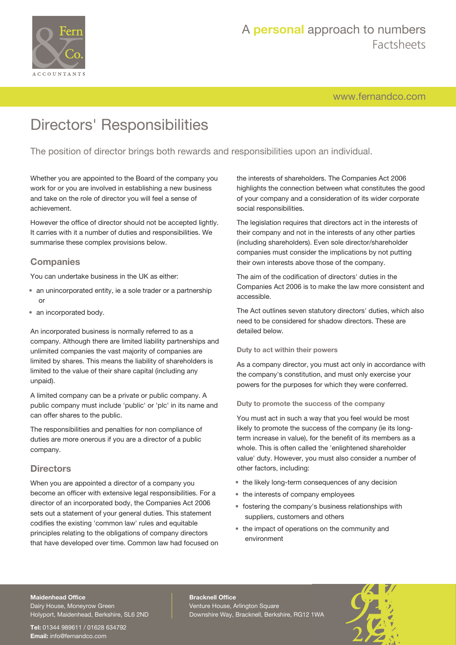

# A **personal** approach to numbers Factsheets

[www.fernandco.com](http://www.fernandco.com)

# Directors' Responsibilities

The position of director brings both rewards and responsibilities upon an individual.

Whether you are appointed to the Board of the company you work for or you are involved in establishing a new business and take on the role of director you will feel a sense of achievement.

However the office of director should not be accepted lightly. It carries with it a number of duties and responsibilities. We summarise these complex provisions below.

### **Companies**

You can undertake business in the UK as either:

- an unincorporated entity, ie a sole trader or a partnership or
- an incorporated body.

An incorporated business is normally referred to as a company. Although there are limited liability partnerships and unlimited companies the vast majority of companies are limited by shares. This means the liability of shareholders is limited to the value of their share capital (including any unpaid).

A limited company can be a private or public company. A public company must include 'public' or 'plc' in its name and can offer shares to the public.

The responsibilities and penalties for non compliance of duties are more onerous if you are a director of a public company.

### **Directors**

When you are appointed a director of a company you become an officer with extensive legal responsibilities. For a director of an incorporated body, the Companies Act 2006 sets out a statement of your general duties. This statement codifies the existing 'common law' rules and equitable principles relating to the obligations of company directors that have developed over time. Common law had focused on the interests of shareholders. The Companies Act 2006 highlights the connection between what constitutes the good of your company and a consideration of its wider corporate social responsibilities.

The legislation requires that directors act in the interests of their company and not in the interests of any other parties (including shareholders). Even sole director/shareholder companies must consider the implications by not putting their own interests above those of the company.

The aim of the codification of directors' duties in the Companies Act 2006 is to make the law more consistent and accessible.

The Act outlines seven statutory directors' duties, which also need to be considered for shadow directors. These are detailed below.

#### **Duty to act within their powers**

As a company director, you must act only in accordance with the company's constitution, and must only exercise your powers for the purposes for which they were conferred.

#### **Duty to promote the success of the company**

You must act in such a way that you feel would be most likely to promote the success of the company (ie its longterm increase in value), for the benefit of its members as a whole. This is often called the 'enlightened shareholder value' duty. However, you must also consider a number of other factors, including:

- the likely long-term consequences of any decision
- the interests of company employees
- fostering the company's business relationships with suppliers, customers and others
- the impact of operations on the community and environment

#### **Maidenhead Office**

Dairy House, Moneyrow Green Holyport, Maidenhead, Berkshire, SL6 2ND

**Tel:** 01344 989611 / 01628 634792 **Email:** [info@fernandco.com](mailto:info@fernandco.com)

**Bracknell Office** Venture House, Arlington Square Downshire Way, Bracknell, Berkshire, RG12 1WA

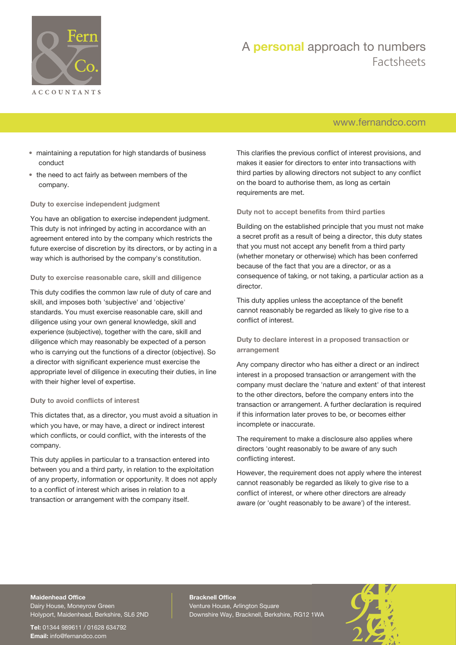

# A **personal** approach to numbers Factsheets

# [www.fernandco.com](http://www.fernandco.com)

- maintaining a reputation for high standards of business conduct
- the need to act fairly as between members of the company.

#### **Duty to exercise independent judgment**

You have an obligation to exercise independent judgment. This duty is not infringed by acting in accordance with an agreement entered into by the company which restricts the future exercise of discretion by its directors, or by acting in a way which is authorised by the company's constitution.

#### **Duty to exercise reasonable care, skill and diligence**

This duty codifies the common law rule of duty of care and skill, and imposes both 'subjective' and 'objective' standards. You must exercise reasonable care, skill and diligence using your own general knowledge, skill and experience (subjective), together with the care, skill and diligence which may reasonably be expected of a person who is carrying out the functions of a director (objective). So a director with significant experience must exercise the appropriate level of diligence in executing their duties, in line with their higher level of expertise.

#### **Duty to avoid conflicts of interest**

This dictates that, as a director, you must avoid a situation in which you have, or may have, a direct or indirect interest which conflicts, or could conflict, with the interests of the company.

This duty applies in particular to a transaction entered into between you and a third party, in relation to the exploitation of any property, information or opportunity. It does not apply to a conflict of interest which arises in relation to a transaction or arrangement with the company itself.

This clarifies the previous conflict of interest provisions, and makes it easier for directors to enter into transactions with third parties by allowing directors not subject to any conflict on the board to authorise them, as long as certain requirements are met.

#### **Duty not to accept benefits from third parties**

Building on the established principle that you must not make a secret profit as a result of being a director, this duty states that you must not accept any benefit from a third party (whether monetary or otherwise) which has been conferred because of the fact that you are a director, or as a consequence of taking, or not taking, a particular action as a director.

This duty applies unless the acceptance of the benefit cannot reasonably be regarded as likely to give rise to a conflict of interest.

**Duty to declare interest in a proposed transaction or arrangement**

Any company director who has either a direct or an indirect interest in a proposed transaction or arrangement with the company must declare the 'nature and extent' of that interest to the other directors, before the company enters into the transaction or arrangement. A further declaration is required if this information later proves to be, or becomes either incomplete or inaccurate.

The requirement to make a disclosure also applies where directors 'ought reasonably to be aware of any such conflicting interest.

However, the requirement does not apply where the interest cannot reasonably be regarded as likely to give rise to a conflict of interest, or where other directors are already aware (or 'ought reasonably to be aware') of the interest.

### **Maidenhead Office**

Dairy House, Moneyrow Green Holyport, Maidenhead, Berkshire, SL6 2ND

**Tel:** 01344 989611 / 01628 634792 **Email:** [info@fernandco.com](mailto:info@fernandco.com)

**Bracknell Office** Venture House, Arlington Square Downshire Way, Bracknell, Berkshire, RG12 1WA